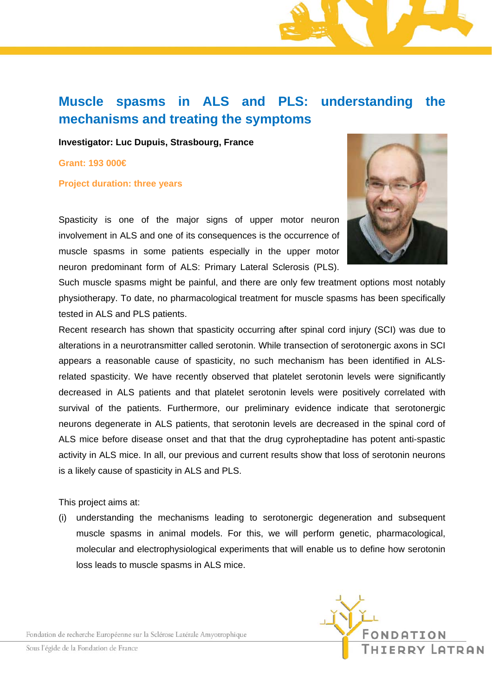## **Muscle spasms in ALS and PLS: understanding the mechanisms and treating the symptoms**

**Investigator: Luc Dupuis, Strasbourg, France** 

**Grant: 193 000€** 

## **Project duration: three years**

Spasticity is one of the major signs of upper motor neuron involvement in ALS and one of its consequences is the occurrence of muscle spasms in some patients especially in the upper motor neuron predominant form of ALS: Primary Lateral Sclerosis (PLS).



Such muscle spasms might be painful, and there are only few treatment options most notably physiotherapy. To date, no pharmacological treatment for muscle spasms has been specifically tested in ALS and PLS patients.

Recent research has shown that spasticity occurring after spinal cord injury (SCI) was due to alterations in a neurotransmitter called serotonin. While transection of serotonergic axons in SCI appears a reasonable cause of spasticity, no such mechanism has been identified in ALSrelated spasticity. We have recently observed that platelet serotonin levels were significantly decreased in ALS patients and that platelet serotonin levels were positively correlated with survival of the patients. Furthermore, our preliminary evidence indicate that serotonergic neurons degenerate in ALS patients, that serotonin levels are decreased in the spinal cord of ALS mice before disease onset and that that the drug cyproheptadine has potent anti-spastic activity in ALS mice. In all, our previous and current results show that loss of serotonin neurons is a likely cause of spasticity in ALS and PLS.

This project aims at:

(i) understanding the mechanisms leading to serotonergic degeneration and subsequent muscle spasms in animal models. For this, we will perform genetic, pharmacological, molecular and electrophysiological experiments that will enable us to define how serotonin loss leads to muscle spasms in ALS mice.

Fondation de recherche Européenne sur la Sclérose Latérale Amyotrophique